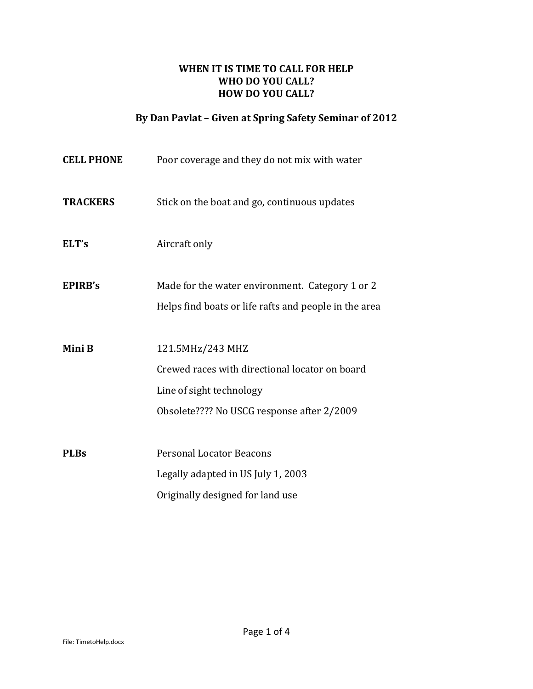#### **WHEN IT IS TIME TO CALL FOR HELP WHO DO YOU CALL? HOW DO YOU CALL?**

# **By Dan Pavlat – Given at Spring Safety Seminar of 2012**

| <b>CELL PHONE</b> | Poor coverage and they do not mix with water                                                                                                 |  |
|-------------------|----------------------------------------------------------------------------------------------------------------------------------------------|--|
| <b>TRACKERS</b>   | Stick on the boat and go, continuous updates                                                                                                 |  |
| ELT's             | Aircraft only                                                                                                                                |  |
| <b>EPIRB's</b>    | Made for the water environment. Category 1 or 2<br>Helps find boats or life rafts and people in the area                                     |  |
| Mini B            | 121.5MHz/243 MHZ<br>Crewed races with directional locator on board<br>Line of sight technology<br>Obsolete???? No USCG response after 2/2009 |  |
| <b>PLBs</b>       | <b>Personal Locator Beacons</b><br>Legally adapted in US July 1, 2003<br>Originally designed for land use                                    |  |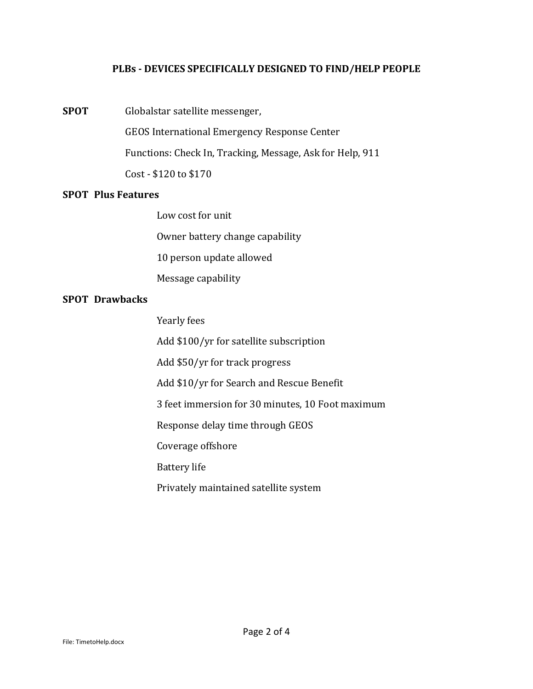#### **PLBs - DEVICES SPECIFICALLY DESIGNED TO FIND/HELP PEOPLE**

**SPOT** Globalstar satellite messenger,

GEOS International Emergency Response Center

Functions: Check In, Tracking, Message, Ask for Help, 911

Cost - \$120 to \$170

#### **SPOT Plus Features**

Low cost for unit

Owner battery change capability

10 person update allowed

Message capability

#### **SPOT Drawbacks**

Yearly fees

Add \$100/yr for satellite subscription

Add \$50/yr for track progress

Add \$10/yr for Search and Rescue Benefit

3 feet immersion for 30 minutes, 10 Foot maximum

Response delay time through GEOS

Coverage offshore

Battery life

Privately maintained satellite system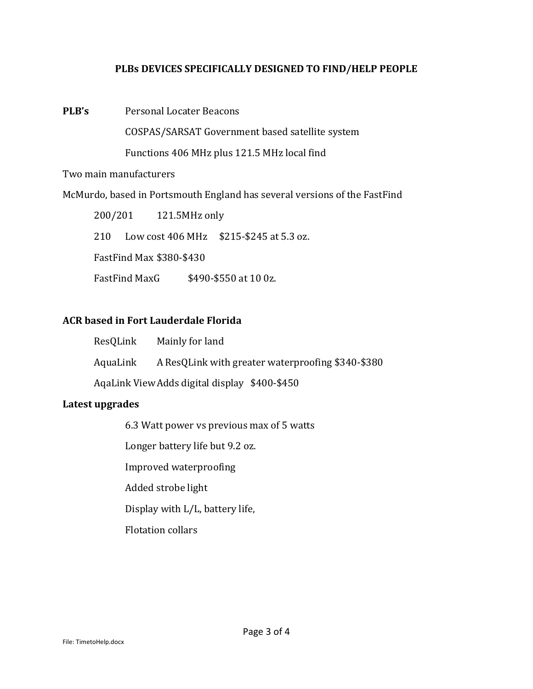#### **PLBs DEVICES SPECIFICALLY DESIGNED TO FIND/HELP PEOPLE**

**PLB's** Personal Locater Beacons

COSPAS/SARSAT Government based satellite system

Functions 406 MHz plus 121.5 MHz local find

#### Two main manufacturers

McMurdo, based in Portsmouth England has several versions of the FastFind

200/201 121.5MHz only 210 Low cost 406 MHz \$215-\$245 at 5.3 oz. FastFind Max \$380-\$430 FastFind MaxG \$490-\$550 at 10 0z.

## **ACR based in Fort Lauderdale Florida**

| ResQLink | Mainly for land |
|----------|-----------------|
|          |                 |

AquaLink A ResQLink with greater waterproofing \$340-\$380

AqaLink ViewAdds digital display \$400-\$450

## **Latest upgrades**

6.3 Watt power vs previous max of 5 watts

Longer battery life but 9.2 oz.

Improved waterproofing

Added strobe light

Display with L/L, battery life,

Flotation collars